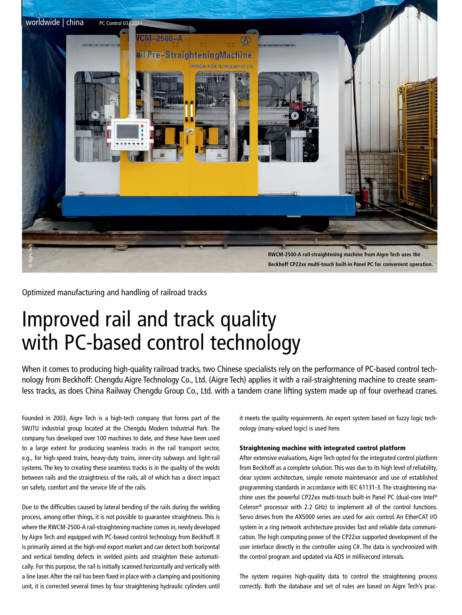

Optimized manufacturing and handling of railroad tracks

## Improved rail and track quality with PC-based control technology

When it comes to producing high-quality railroad tracks, two Chinese specialists rely on the performance of PC-based control technology from Beckhoff: Chengdu Aigre Technology Co., Ltd. (Aigre Tech) applies it with a rail-straightening machine to create seamless tracks, as does China Railway Chengdu Group Co., Ltd. with a tandem crane lifting system made up of four overhead cranes.

Founded in 2003, Aigre Tech is a high-tech company that forms part of the SWJTU industrial group located at the Chengdu Modern Industrial Park. The company has developed over 100 machines to date, and these have been used to a large extent for producing seamless tracks in the rail transport sector, e.g., for high-speed trains, heavy-duty trains, inner-city subways and light-rail systems. The key to creating these seamless tracks is in the quality of the welds between rails and the straightness of the rails, all of which has a direct impact on safety, comfort and the service life of the rails.

Due to the difficulties caused by lateral bending of the rails during the welding process, among other things, it is not possible to guarantee straightness. This is where the RWCM-2500-A rail-straightening machine comes in, newly developed by Aigre Tech and equipped with PC-based control technology from Beckhoff. It is primarily aimed at the high-end export market and can detect both horizontal and vertical bending defects in welded joints and straighten these automatically. For this purpose, the rail is initially scanned horizontally and vertically with a line laser. After the rail has been fixed in place with a clamping and positioning unit, it is corrected several times by four straightening hydraulic cylinders until

it meets the quality requirements. An expert system based on fuzzy logic technology (many-valued logic) is used here.

## Straightening machine with integrated control platform

After extensive evaluations, Aigre Tech opted for the integrated control platform from Beckhoff as a complete solution. This was due to its high level of reliability, clear system architecture, simple remote maintenance and use of established programming standards in accordance with IEC 61131-3. The straightening machine uses the powerful CP22xx multi-touch built-in Panel PC (dual-core Intel® Celeron® processor with 2.2 GHz) to implement all of the control functions. Servo drives from the AX5000 series are used for axis control. An EtherCAT I/O system in a ring network architecture provides fast and reliable data communication. The high computing power of the CP22xx supported development of the user interface directly in the controller using C#. The data is synchronized with the control program and updated via ADS in millisecond intervals.

The system requires high-quality data to control the straightening process correctly. Both the database and set of rules are based on Aigre Tech's prac